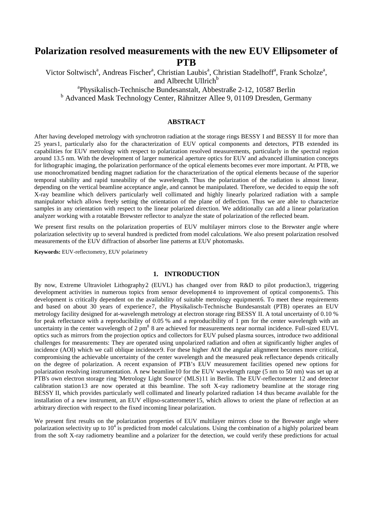# **Polarization resolved measurements with the new EUV Ellipsometer of PTB**

Victor Soltwisch<sup>a</sup>, Andreas Fischer<sup>a</sup>, Christian Laubis<sup>a</sup>, Christian Stadelhoff<sup>a</sup>, Frank Scholze<sup>a</sup>, and Albrecht Ullrich<sup>b</sup> a Physikalisch-Technische Bundesanstalt, Abbestraße 2-12, 10587 Berlin

<sup>b</sup> Advanced Mask Technology Center, Rähnitzer Allee 9, 01109 Dresden, Germany

## **ABSTRACT**

After having developed metrology with synchrotron radiation at the storage rings BESSY I and BESSY II for more than 25 years[1](#page-7-0), particularly also for the characterization of EUV optical components and detectors, PTB extended its capabilities for EUV metrology with respect to polarization resolved measurements, particularly in the spectral region around 13.5 nm. With the development of larger numerical aperture optics for EUV and advanced illumination concepts for lithographic imaging, the polarization performance of the optical elements becomes ever more important. At PTB, we use monochromatized bending magnet radiation for the characterization of the optical elements because of the superior temporal stability and rapid tuneability of the wavelength. Thus the polarization of the radiation is almost linear, depending on the vertical beamline acceptance angle, and cannot be manipulated. Therefore, we decided to equip the soft X-ray beamline which delivers particularly well collimated and highly linearly polarized radiation with a sample manipulator which allows freely setting the orientation of the plane of deflection. Thus we are able to characterize samples in any orientation with respect to the linear polarized direction. We additionally can add a linear polarization analyzer working with a rotatable Brewster reflector to analyze the state of polarization of the reflected beam.

We present first results on the polarization properties of EUV multilayer mirrors close to the Brewster angle where polarization selectivity up to several hundred is predicted from model calculations. We also present polarization resolved measurements of the EUV diffraction of absorber line patterns at EUV photomasks.

**Keywords:** EUV-reflectometry, EUV polarimetry

## <span id="page-0-2"></span><span id="page-0-1"></span><span id="page-0-0"></span>**1. INTRODUCTION**

By now, Extreme Ultraviolet Lithography[2](#page-7-1) (EUVL) has changed over from R&D to pilot production[3](#page-7-2), triggering development activities in numerous topics from sensor development[4](#page-7-3) to improvement of optical components[5](#page-7-4). This development is critically dependent on the availability of suitable metrology equipment[6.](#page-7-5) To meet these requirements and based on about 30 years of experience[7](#page-7-6), the Physikalisch-Technische Bundesanstalt (PTB) operates an EUV metrology facility designed for at-wavelength metrology at electron storage ring BESSY II. A total uncertainty of 0.10 % for peak reflectance with a reproducibility of 0.05 % and a reproducibility of 1 pm for the center wavelength with an uncertainty in the center wavelength of 2  $\text{pm}^8$  $\text{pm}^8$  8 are achieved for measurements near normal incidence. Full-sized EUVL optics such as mirrors from the projection optics and collectors for EUV pulsed plasma sources, introduce two additional challenges for measurements: They are operated using unpolarized radiation and often at significantly higher angles of incidence (AOI) which we call oblique incidence[9.](#page-7-8) For these higher AOI the angular alignment becomes more critical, compromising the achievable uncertainty of the center wavelength and the measured peak reflectance depends critically on the degree of polarization. A recent expansion of PTB's EUV measurement facilities opened new options for polarization resolving instrumentation. A new beamline[10](#page-7-9) for the EUV wavelength range (5 nm to 50 nm) was set up at PTB's own electron storage ring 'Metrology Light Source' (MLS)[11](#page-7-10) in Berlin. The EUV-reflectometer [12](#page-7-11) and detector calibration station[13](#page-7-12) are now operated at this beamline. The soft X-ray radiometry beamline at the storage ring BESSY II, which provides particularly well collimated and linearly polarized radiation [14](#page-7-13) thus became available for the installation of a new instrument, an EUV ellipso-scatterometer[15,](#page-7-14) which allows to orient the plane of reflection at an arbitrary direction with respect to the fixed incoming linear polarization.

We present first results on the polarization properties of EUV multilayer mirrors close to the Brewster angle where polarization selectivity up to  $10^4$  is predicted from model calculations. Using the combination of a highly polarized beam from the soft X-ray radiometry beamline and a polarizer for the detection, we could verify these predictions for actual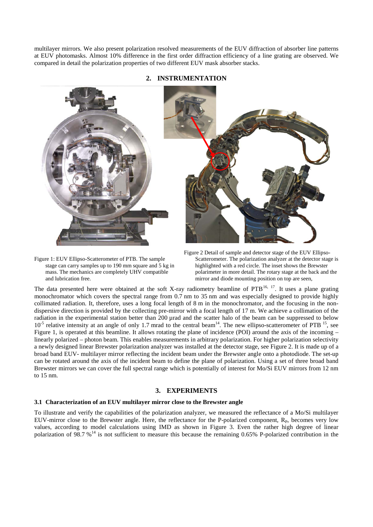multilayer mirrors. We also present polarization resolved measurements of the EUV diffraction of absorber line patterns at EUV photomasks. Almost 10% difference in the first order diffraction efficiency of a line grating are observed. We compared in detail the polarization properties of two different EUV mask absorber stacks.



## **2. INSTRUMENTATION**



Figure 1: EUV Ellipso-Scatterometer of PTB. The sample stage can carry samples up to 190 mm square and 5 kg in mass. The mechanics are completely UHV compatible and lubrication free.

<span id="page-1-1"></span>Figure 2 Detail of sample and detector stage of the EUV Ellipso-Scatterometer. The polarization analyzer at the detector stage is highlighted with a red circle. The inset shows the Brewster polarimeter in more detail. The rotary stage at the back and the mirror and diode mounting position on top are seen,

<span id="page-1-0"></span>The data presented here were obtained at the soft X-ray radiometry beamline of PTB<sup>[16,](#page-7-15) [17](#page-7-16)</sup>. It uses a plane grating monochromator which covers the spectral range from 0.7 nm to 35 nm and was especially designed to provide highly collimated radiation. It, therefore, uses a long focal length of 8 m in the monochromator, and the focusing in the nondispersive direction is provided by the collecting pre-mirror with a focal length of 17 m. We achieve a collimation of the radiation in the experimental station better than 200 µrad and the scatter halo of the beam can be suppressed to below  $10^{-5}$  relative intensity at an angle of only 1.7 mrad to the central beam<sup>14</sup>. The new ellipso-scatterometer of PTB  $^{15}$ , see [Figure 1,](#page-1-0) is operated at this beamline. It allows rotating the plane of incidence (POI) around the axis of the incoming – linearly polarized – photon beam. This enables measurements in arbitrary polarization. For higher polarization selectivity a newly designed linear Brewster polarization analyzer was installed at the detector stage, see [Figure 2.](#page-1-1) It is made up of a broad band EUV- multilayer mirror reflecting the incident beam under the Brewster angle onto a photodiode. The set-up can be rotated around the axis of the incident beam to define the plane of polarization. Using a set of three broad band Brewster mirrors we can cover the full spectral range which is potentially of interest for Mo/Si EUV mirrors from 12 nm to 15 nm.

### **3. EXPERIMENTS**

#### **3.1 Characterization of an EUV multilayer mirror close to the Brewster angle**

To illustrate and verify the capabilities of the polarization analyzer, we measured the reflectance of a Mo/Si multilayer EUV-mirror close to the Brewster angle. Here, the reflectance for the P-polarized component,  $R<sub>P</sub>$ , becomes very low values, according to model calculations using IMD as shown in [Figure 3.](#page-2-0) Even the rather high degree of linear polarization of 98.7  $\frac{1}{4}$  is not sufficient to measure this because the remaining 0.65% P-polarized contribution in the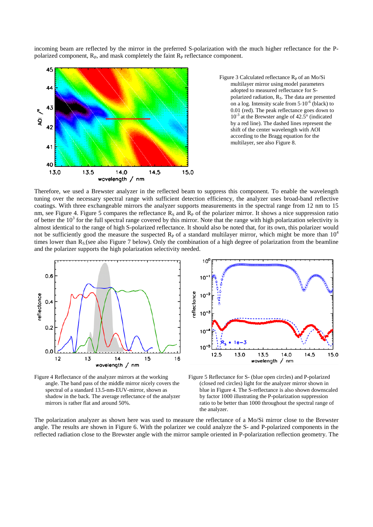incoming beam are reflected by the mirror in the preferred S-polarization with the much higher reflectance for the Ppolarized component,  $R<sub>P</sub>$ , and mask completely the faint  $R<sub>P</sub>$  reflectance component.



<span id="page-2-0"></span>Figure 3 Calculated reflectance  $R<sub>P</sub>$  of an Mo/Si multilayer mirror using model parameters adopted to measured reflectance for Spolarized radiation,  $R<sub>S</sub>$ . The data are presented on a log. Intensity scale from  $5 \cdot 10^{-6}$  (black) to 0.01 (red). The peak reflectance goes down to  $10^{-3}$  at the Brewster angle of 42.5 $\degree$  (indicated by a red line). The dashed lines represent the shift of the center wavelength with AOI according to the Bragg equation for the multilayer, see als[o Figure 8.](#page-4-0) 

Therefore, we used a Brewster analyzer in the reflected beam to suppress this component. To enable the wavelength tuning over the necessary spectral range with sufficient detection efficiency, the analyzer uses broad-band reflective coatings. With three exchangeable mirrors the analyzer supports measurements in the spectral range from 12 nm to 15 nm, see [Figure 4.](#page-2-1) [Figure 5](#page-2-2) compares the reflectance  $R<sub>S</sub>$  and  $R<sub>P</sub>$  of the polarizer mirror. It shows a nice suppression ratio of better the  $10<sup>3</sup>$  for the full spectral range covered by this mirror. Note that the range with high polarization selectivity is almost identical to the range of high S-polarized reflectance. It should also be noted that, for its own, this polarizer would not be sufficiently good the measure the suspected  $R<sub>P</sub>$  of a standard multilayer mirror, which might be more than  $10<sup>4</sup>$ times lower than  $R_S$  (see also [Figure 7](#page-3-0) below). Only the combination of a high degree of polarization from the beamline and the polarizer supports the high polarization selectivity needed.



<span id="page-2-1"></span>Figure 4 Reflectance of the analyzer mirrors at the working angle. The band pass of the middle mirror nicely covers the spectral of a standard 13.5-nm-EUV-mirror, shown as shadow in the back. The average reflectance of the analyzer mirrors is rather flat and around 50%.



<span id="page-2-2"></span>Figure 5 Reflectance for S- (blue open circles) and P-polarized (closed red circles) light for the analyzer mirror shown in blue in [Figure 4.](#page-2-1) The S-reflectance is also shown downscaled by factor 1000 illustrating the P-polarization suppression ratio to be better than 1000 throughout the spectral range of the analyzer.

The polarization analyzer as shown here was used to measure the reflectance of a Mo/Si mirror close to the Brewster angle. The results are shown in [Figure 6.](#page-3-1) With the polarizer we could analyze the S- and P-polarized components in the reflected radiation close to the Brewster angle with the mirror sample oriented in P-polarization reflection geometry. The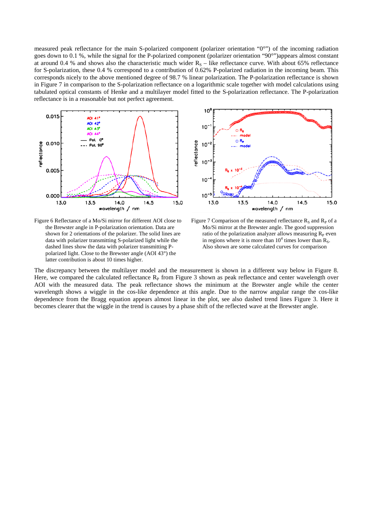measured peak reflectance for the main S-polarized component (polarizer orientation "0°") of the incoming radiation goes down to 0.1 %, while the signal for the P-polarized component (polarizer orientation "90°")appears almost constant at around 0.4 % and shows also the characteristic much wider  $R_s$  – like reflectance curve. With about 65% reflectance for S-polarization, these 0.4 % correspond to a contribution of 0.62% P-polarized radiation in the incoming beam. This corresponds nicely to the above mentioned degree of 98.7 % linear polarization. The P-polarization reflectance is shown in [Figure 7](#page-3-0) in comparison to the S-polarization reflectance on a logarithmic scale together with model calculations using tabulated optical constants of Henke and a multilayer model fitted to the S-polarization reflectance. The P-polarization reflectance is in a reasonable but not perfect agreement.



<span id="page-3-1"></span>Figure 6 Reflectance of a Mo/Si mirror for different AOI close to the Brewster angle in P-polarization orientation. Data are shown for 2 orientations of the polarizer. The solid lines are data with polarizer transmitting S-polarized light while the dashed lines show the data with polarizer transmitting Ppolarized light. Close to the Brewster angle (AOI 43°) the latter contribution is about 10 times higher.



<span id="page-3-0"></span>Figure 7 Comparison of the measured reflectance  $R_S$  and  $R_P$  of a Mo/Si mirror at the Brewster angle. The good suppression ratio of the polarization analyzer allows measuring  $R<sub>P</sub>$  even in regions where it is more than  $10^4$  times lower than  $R_s$ . Also shown are some calculated curves for comparison

The discrepancy between the multilayer model and the measurement is shown in a different way below in [Figure 8.](#page-4-0) Here, we compared the calculated reflectance  $R<sub>P</sub>$  from [Figure 3](#page-2-0) shown as peak reflectance and center wavelength over AOI with the measured data. The peak reflectance shows the minimum at the Brewster angle while the center wavelength shows a wiggle in the cos-like dependence at this angle. Due to the narrow angular range the cos-like dependence from the Bragg equation appears almost linear in the plot, see also dashed trend lines [Figure 3.](#page-2-0) Here it becomes clearer that the wiggle in the trend is causes by a phase shift of the reflected wave at the Brewster angle.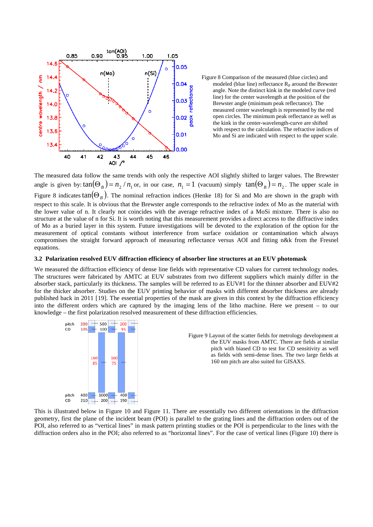

<span id="page-4-0"></span>Figure 8 Comparison of the measured (blue circles) and modeled (blue line) reflectance  $R<sub>P</sub>$  around the Brewster angle. Note the distinct kink in the modeled curve (red line) for the center wavelength at the position of the Brewster angle (minimum peak reflectance). The measured center wavelength is represented by the red open circles. The minimum peak reflectance as well as the kink in the center-wavelength-curve are shifted with respect to the calculation. The refractive indices of Mo and Si are indicated with respect to the upper scale.

The measured data follow the same trends with only the respective AOI slightly shifted to larger values. The Brewster angle is given by:  $tan(\Theta_B) = n_2 / n_1$  or, in our case,  $n_1 = 1$  (vacuum) simply  $tan(\Theta_B) = n_2$ . The upper scale in [Figure 8](#page-4-0) indicates  $tan(\Theta_B)$ . The nominal refraction indices (Henke [18](#page-7-17)) for Si and Mo are shown in the graph with respect to this scale. It is obvious that the Brewster angle corresponds to the refractive index of Mo as the material with the lower value of n. It clearly not coincides with the average refractive index of a MoSi mixture. There is also no structure at the value of n for Si. It is worth noting that this measurement provides a direct access to the diffractive index of Mo as a buried layer in this system. Future investigations will be devoted to the exploration of the option for the measurement of optical constants without interference from surface oxidation or contamination which always compromises the straight forward approach of measuring reflectance versus AOI and fitting n&k from the Fresnel equations.

### **3.2 Polarization resolved EUV diffraction efficiency of absorber line structures at an EUV photomask**

We measured the diffraction efficiency of dense line fields with representative CD values for current technology nodes. The structures were fabricated by AMTC at EUV substrates from two different suppliers which mainly differ in the absorber stack, particularly its thickness. The samples will be referred to as EUV#1 for the thinner absorber and EUV#2 for the thicker absorber. Studies on the EUV printing behavior of masks with different absorber thickness are already published back in 2011 [\[19\]](#page-7-18). The essential properties of the mask are given in this context by the diffraction efficiency into the different orders which are captured by the imaging lens of the litho machine. Here we present – to our knowledge – the first polarization resolved measurement of these diffraction efficiencies.



This is illustrated below in [Figure 10](#page-5-0) and [Figure 11.](#page-5-1) There are essentially two different orientations in the diffraction geometry, first the plane of the incident beam (POI) is parallel to the grating lines and the diffraction orders out of the POI, also referred to as "vertical lines" in mask pattern printing studies or the POI is perpendicular to the lines with the diffraction orders also in the POI; also referred to as "horizontal lines". For the case of vertical lines [\(Figure 10\)](#page-5-0) there is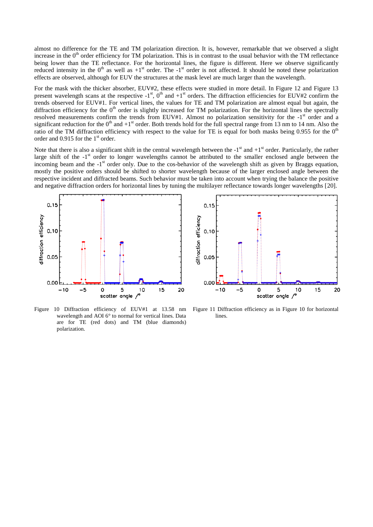almost no difference for the TE and TM polarization direction. It is, however, remarkable that we observed a slight increase in the  $0<sup>th</sup>$  order efficiency for TM polarization. This is in contrast to the usual behavior with the TM reflectance being lower than the TE reflectance. For the horizontal lines, the figure is different. Here we observe significantly reduced intensity in the  $0<sup>th</sup>$  as well as  $+1<sup>st</sup>$  order. The  $-1<sup>st</sup>$  order is not affected. It should be noted these polarization effects are observed, although for EUV the structures at the mask level are much larger than the wavelength.

For the mask with the thicker absorber, EUV#2, these effects were studied in more detail. In [Figure 12](#page-6-0) and [Figure 13](#page-6-1) present wavelength scans at the respective  $-1$ <sup>st</sup>, 0<sup>th</sup> and  $+1$ <sup>st</sup> orders. The diffraction efficiencies for EUV#2 confirm the trends observed for EUV#1. For vertical lines, the values for TE and TM polarization are almost equal but again, the diffraction efficiency for the  $0<sup>th</sup>$  order is slightly increased for TM polarization. For the horizontal lines the spectrally resolved measurements confirm the trends from EUV#1. Almost no polarization sensitivity for the -1<sup>st</sup> order and a significant reduction for the  $0<sup>th</sup>$  and  $+1<sup>st</sup>$  order. Both trends hold for the full spectral range from 13 nm to 14 nm. Also the ratio of the TM diffraction efficiency with respect to the value for TE is equal for both masks being 0.955 for the  $0<sup>th</sup>$ order and  $0.915$  for the 1<sup>st</sup> order.

Note that there is also a significant shift in the central wavelength between the  $-1<sup>st</sup>$  and  $+1<sup>st</sup>$  order. Particularly, the rather large shift of the -1<sup>st</sup> order to longer wavelengths cannot be attributed to the smaller enclosed angle between the incoming beam and the -1<sup>st</sup> order only. Due to the cos-behavior of the wavelength shift as given by Braggs equation, mostly the positive orders should be shifted to shorter wavelength because of the larger enclosed angle between the respective incident and diffracted beams. Such behavior must be taken into account when trying the balance the positive and negative diffraction orders for horizontal lines by tuning the multilayer reflectance towards longer wavelengths [[20\]](#page-7-19).





<span id="page-5-0"></span>Figure 10 Diffraction efficiency of EUV#1 at 13.58 nm wavelength and AOI 6° to normal for vertical lines. Data are for TE (red dots) and TM (blue diamonds) polarization.

<span id="page-5-1"></span>Figure 11 Diffraction efficiency as in [Figure 10](#page-5-0) for horizontal lines.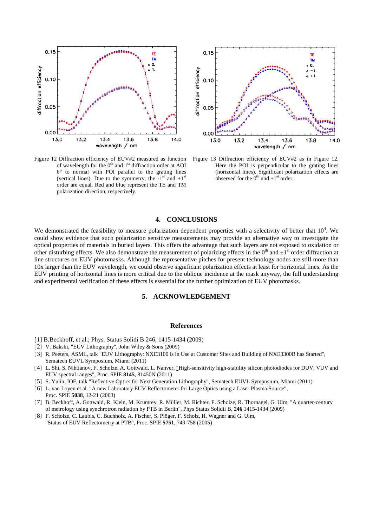

<span id="page-6-0"></span>Figure 12 Diffraction efficiency of EUV#2 measured as function of wavelength for the  $0<sup>th</sup>$  and  $1<sup>st</sup>$  diffraction order at AOI 6° to normal with POI parallel to the grating lines (vertical lines). Due to the symmetry, the  $-1<sup>st</sup>$  and  $+1<sup>st</sup>$ order are equal. Red and blue represent the TE and TM polarization direction, respectively.



<span id="page-6-1"></span>Figure 13 Diffraction efficiency of EUV#2 as in [Figure 12.](#page-6-0)  Here the POI is perpendicular to the grating lines (horizontal lines). Significant polarization effects are observed for the  $0^{th}$  und  $+1^{st}$  order.

#### **4. CONCLUSIONS**

We demonstrated the feasibility to measure polarization dependent properties with a selectivity of better that  $10^4$ . We could show evidence that such polarization sensitive measurements may provide an alternative way to investigate the optical properties of materials in buried layers. This offers the advantage that such layers are not exposed to oxidation or other disturbing effects. We also demonstrate the measurement of polarizing effects in the  $0<sup>th</sup>$  and  $\pm 1<sup>st</sup>$  order diffraction at line structures on EUV photomasks. Although the representative pitches for present technology nodes are still more than 10x larger than the EUV wavelength, we could observe significant polarization effects at least for horizontal lines. As the EUV printing of horizontal lines is more critical due to the oblique incidence at the mask anyway, the full understanding and experimental verification of these effects is essential for the further optimization of EUV photomasks.

#### **5. ACKNOWLEDGEMENT**

#### **References**

- [1] B.Beckhoff, et al.; Phys. Status Solidi B 246, 1415-1434 (2009)
- [ 2] V. Bakshi, "EUV Lithography", John Wiley & Sons (2009)
- [ 3] R. Peeters, ASML, talk "EUV Lithography: NXE3100 is in Use at Customer Sites and Building of NXE3300B has Started", Sematech EUVL Symposium, Miami (2011)
- [ 4] L. Shi, S. Nihtianov, F. Scholze, A. Gottwald, L. Nanver, "High-sensitivity high-stability silicon photodiodes for DUV, VUV and EUV spectral ranges", Proc. SPIE **8145**, 81450N (2011)
- [ 5] S. Yulin, IOF, talk "Reflective Optics for Next Generation Lithography", Sematech EUVL Symposium, Miami (2011)
- [ 6] L. van Loyen et.al. "A new Laboratory EUV Reflectometer for Large Optics using a Laser Plasma Source",
- Proc. SPIE **5038**, 12-21 (2003)
- [ 7] B. Beckhoff, A. Gottwald, R. Klein, M. Krumrey, R. Müller, M. Richter, F. Scholze, R. Thornagel, G. Ulm, "A quarter-century of metrology using synchrotron radiation by PTB in Berlin", Phys Status Solidii B, **246** 1415-1434 (2009)
- [ 8] F. Scholze, C. Laubis, C. Buchholz, A. Fischer, S. Plöger, F. Scholz, H. Wagner and G. Ulm, "Status of EUV Reflectometry at PTB", Proc. SPIE **5751**, 749-758 (2005)